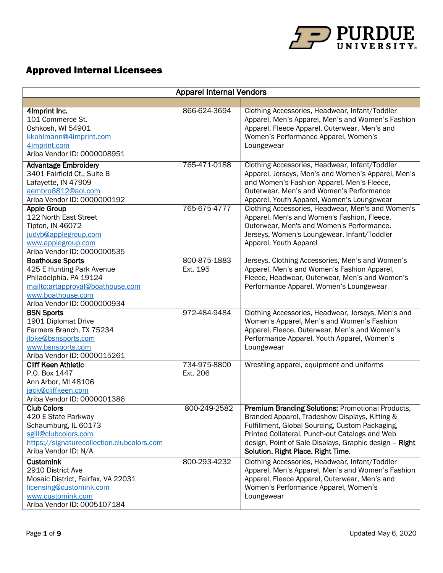

## Approved Internal Licensees

| <b>Apparel Internal Vendors</b>                                                                                                                                        |                          |                                                                                                                                                                                                                                                                                                                 |  |
|------------------------------------------------------------------------------------------------------------------------------------------------------------------------|--------------------------|-----------------------------------------------------------------------------------------------------------------------------------------------------------------------------------------------------------------------------------------------------------------------------------------------------------------|--|
|                                                                                                                                                                        |                          |                                                                                                                                                                                                                                                                                                                 |  |
| 4Imprint Inc.<br>101 Commerce St.<br>Oshkosh, WI 54901<br>kkohlmann@4imprint.com<br>4imprint.com<br>Ariba Vendor ID: 0000008951                                        | 866-624-3694             | Clothing Accessories, Headwear, Infant/Toddler<br>Apparel, Men's Apparel, Men's and Women's Fashion<br>Apparel, Fleece Apparel, Outerwear, Men's and<br>Women's Performance Apparel, Women's<br>Loungewear                                                                                                      |  |
| <b>Advantage Embroidery</b><br>3401 Fairfield Ct., Suite B<br>Lafayette, IN 47909<br>aembro6812@aol.com<br>Ariba Vendor ID: 0000000192                                 | 765-471-0188             | Clothing Accessories, Headwear, Infant/Toddler<br>Apparel, Jerseys, Men's and Women's Apparel, Men's<br>and Women's Fashion Apparel, Men's Fleece,<br>Outerwear, Men's and Women's Performance<br>Apparel, Youth Apparel, Women's Loungewear                                                                    |  |
| <b>Apple Group</b><br>122 North East Street<br>Tipton, IN 46072<br>judyb@applegroup.com<br>www.applegroup.com<br>Ariba Vendor ID: 0000000535                           | 765-675-4777             | Clothing Accessories, Headwear, Men's and Women's<br>Apparel, Men's and Women's Fashion, Fleece,<br>Outerwear, Men's and Women's Performance,<br>Jerseys, Women's Loungewear, Infant/Toddler<br>Apparel, Youth Apparel                                                                                          |  |
| <b>Boathouse Sports</b><br>425 E Hunting Park Avenue<br>Philadelphia. PA 19124<br>mailto:artapproval@boathouse.com<br>www.boathouse.com<br>Ariba Vendor ID: 0000000934 | 800-875-1883<br>Ext. 195 | Jerseys, Clothing Accessories, Men's and Women's<br>Apparel, Men's and Women's Fashion Apparel,<br>Fleece, Headwear, Outerwear, Men's and Women's<br>Performance Apparel, Women's Loungewear                                                                                                                    |  |
| <b>BSN Sports</b><br>1901 Diplomat Drive<br>Farmers Branch, TX 75234<br>jloke@bsnsports.com<br>www.bsnsports.com<br>Ariba Vendor ID: 0000015261                        | 972-484-9484             | Clothing Accessories, Headwear, Jerseys, Men's and<br>Women's Apparel, Men's and Women's Fashion<br>Apparel, Fleece, Outerwear, Men's and Women's<br>Performance Apparel, Youth Apparel, Women's<br>Loungewear                                                                                                  |  |
| <b>Cliff Keen Athletic</b><br>P.O. Box 1447<br>Ann Arbor, MI 48106<br>jack@cliffkeen.com<br>Ariba Vendor ID: 0000001386                                                | 734-975-8800<br>Ext. 206 | Wrestling apparel, equipment and uniforms                                                                                                                                                                                                                                                                       |  |
| <b>Club Colors</b><br>420 E State Parkway<br>Schaumburg, IL 60173<br>sgill@clubcolors.com<br>https://signaturecollection.clubcolors.com<br>Ariba Vendor ID: N/A        | 800-249-2582             | <b>Premium Branding Solutions: Promotional Products,</b><br>Branded Apparel, Tradeshow Displays, Kitting &<br>Fulfillment, Global Sourcing, Custom Packaging,<br>Printed Collateral, Punch-out Catalogs and Web<br>design, Point of Sale Displays, Graphic design - Right<br>Solution. Right Place. Right Time. |  |
| <b>CustomInk</b><br>2910 District Ave<br>Mosaic District, Fairfax, VA 22031<br>licensing@customink.com<br>www.customink.com<br>Ariba Vendor ID: 0005107184             | 800-293-4232             | Clothing Accessories, Headwear, Infant/Toddler<br>Apparel, Men's Apparel, Men's and Women's Fashion<br>Apparel, Fleece Apparel, Outerwear, Men's and<br>Women's Performance Apparel, Women's<br>Loungewear                                                                                                      |  |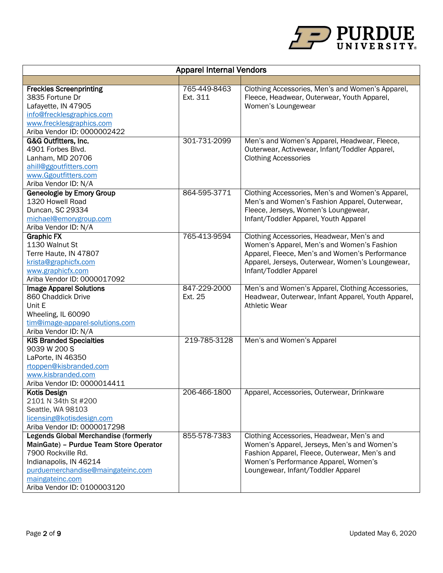

| <b>Apparel Internal Vendors</b>                                                                                                                                                                                              |                          |                                                                                                                                                                                                                         |  |
|------------------------------------------------------------------------------------------------------------------------------------------------------------------------------------------------------------------------------|--------------------------|-------------------------------------------------------------------------------------------------------------------------------------------------------------------------------------------------------------------------|--|
|                                                                                                                                                                                                                              |                          |                                                                                                                                                                                                                         |  |
| <b>Freckles Screenprinting</b><br>3835 Fortune Dr<br>Lafayette, IN 47905<br>info@frecklesgraphics.com<br>www.frecklesgraphics.com<br>Ariba Vendor ID: 0000002422                                                             | 765-449-8463<br>Ext. 311 | Clothing Accessories, Men's and Women's Apparel,<br>Fleece, Headwear, Outerwear, Youth Apparel,<br>Women's Loungewear                                                                                                   |  |
| G&G Outfitters, Inc.<br>4901 Forbes Blvd.<br>Lanham, MD 20706<br>ahill@ggoutfitters.com<br>www.Ggoutfitters.com<br>Ariba Vendor ID: N/A                                                                                      | 301-731-2099             | Men's and Women's Apparel, Headwear, Fleece,<br>Outerwear, Activewear, Infant/Toddler Apparel,<br><b>Clothing Accessories</b>                                                                                           |  |
| <b>Geneologie by Emory Group</b><br>1320 Howell Road<br>Duncan, SC 29334<br>michael@emorygroup.com<br>Ariba Vendor ID: N/A                                                                                                   | 864-595-3771             | Clothing Accessories, Men's and Women's Apparel,<br>Men's and Women's Fashion Apparel, Outerwear,<br>Fleece, Jerseys, Women's Loungewear,<br>Infant/Toddler Apparel, Youth Apparel                                      |  |
| <b>Graphic FX</b><br>1130 Walnut St<br>Terre Haute, IN 47807<br>krista@graphicfx.com<br>www.graphicfx.com<br>Ariba Vendor ID: 0000017092                                                                                     | 765-413-9594             | Clothing Accessories, Headwear, Men's and<br>Women's Apparel, Men's and Women's Fashion<br>Apparel, Fleece, Men's and Women's Performance<br>Apparel, Jerseys, Outerwear, Women's Loungewear,<br>Infant/Toddler Apparel |  |
| <b>Image Apparel Solutions</b><br>860 Chaddick Drive<br>Unit E<br>Wheeling, IL 60090<br>tim@image-apparel-solutions.com<br>Ariba Vendor ID: N/A                                                                              | 847-229-2000<br>Ext. 25  | Men's and Women's Apparel, Clothing Accessories,<br>Headwear, Outerwear, Infant Apparel, Youth Apparel,<br><b>Athletic Wear</b>                                                                                         |  |
| <b>KIS Branded Specialties</b><br>9039 W 200 S<br>LaPorte, IN 46350<br>rtoppen@kisbranded.com<br>www.kisbranded.com<br>Ariba Vendor ID: 0000014411                                                                           | 219-785-3128             | Men's and Women's Apparel                                                                                                                                                                                               |  |
| Kotis Design<br>2101 N 34th St #200<br>Seattle, WA 98103<br>licensing@kotisdesign.com<br>Ariba Vendor ID: 0000017298                                                                                                         | 206-466-1800             | Apparel, Accessories, Outerwear, Drinkware                                                                                                                                                                              |  |
| <b>Legends Global Merchandise (formerly</b><br>MainGate) - Purdue Team Store Operator<br>7900 Rockville Rd.<br>Indianapolis, IN 46214<br>purduemerchandise@maingateinc.com<br>maingateinc.com<br>Ariba Vendor ID: 0100003120 | 855-578-7383             | Clothing Accessories, Headwear, Men's and<br>Women's Apparel, Jerseys, Men's and Women's<br>Fashion Apparel, Fleece, Outerwear, Men's and<br>Women's Performance Apparel, Women's<br>Loungewear, Infant/Toddler Apparel |  |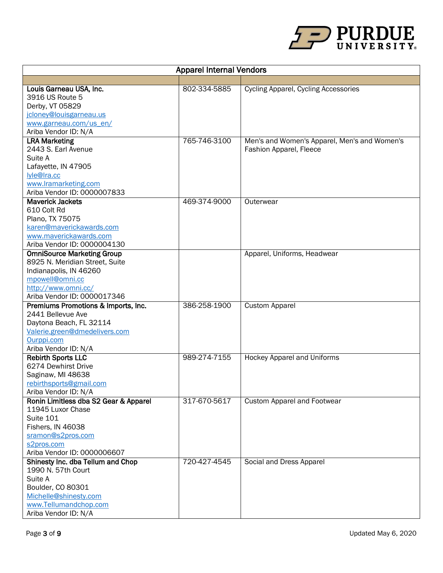

| <b>Apparel Internal Vendors</b>                   |              |                                              |  |
|---------------------------------------------------|--------------|----------------------------------------------|--|
|                                                   |              |                                              |  |
| Louis Garneau USA, Inc.                           | 802-334-5885 | <b>Cycling Apparel, Cycling Accessories</b>  |  |
| 3916 US Route 5                                   |              |                                              |  |
| Derby, VT 05829                                   |              |                                              |  |
| jcloney@louisgarneau.us                           |              |                                              |  |
| www.garneau.com/us_en/                            |              |                                              |  |
| Ariba Vendor ID: N/A                              |              |                                              |  |
| <b>LRA Marketing</b>                              | 765-746-3100 | Men's and Women's Apparel, Men's and Women's |  |
| 2443 S. Earl Avenue                               |              | Fashion Apparel, Fleece                      |  |
| Suite A                                           |              |                                              |  |
| Lafayette, IN 47905<br>lyle@Ira.cc                |              |                                              |  |
| www.lramarketing.com                              |              |                                              |  |
| Ariba Vendor ID: 0000007833                       |              |                                              |  |
| <b>Maverick Jackets</b>                           | 469-374-9000 | Outerwear                                    |  |
| 610 Colt Rd                                       |              |                                              |  |
| Plano, TX 75075                                   |              |                                              |  |
| karen@maverickawards.com                          |              |                                              |  |
| www.maverickawards.com                            |              |                                              |  |
| Ariba Vendor ID: 0000004130                       |              |                                              |  |
| <b>OmniSource Marketing Group</b>                 |              | Apparel, Uniforms, Headwear                  |  |
| 8925 N. Meridian Street, Suite                    |              |                                              |  |
| Indianapolis, IN 46260                            |              |                                              |  |
| mpowell@omni.cc                                   |              |                                              |  |
| http://www.omni.cc/                               |              |                                              |  |
| Ariba Vendor ID: 0000017346                       |              |                                              |  |
| Premiums Promotions & Imports, Inc.               | 386-258-1900 | <b>Custom Apparel</b>                        |  |
| 2441 Bellevue Ave                                 |              |                                              |  |
| Daytona Beach, FL 32114                           |              |                                              |  |
| Valerie.green@dmedelivers.com                     |              |                                              |  |
| Ourppi.com                                        |              |                                              |  |
| Ariba Vendor ID: N/A<br><b>Rebirth Sports LLC</b> | 989-274-7155 | <b>Hockey Apparel and Uniforms</b>           |  |
| 6274 Dewhirst Drive                               |              |                                              |  |
| Saginaw, MI 48638                                 |              |                                              |  |
| rebirthsports@gmail.com                           |              |                                              |  |
| Ariba Vendor ID: N/A                              |              |                                              |  |
| Ronin Limitless dba S2 Gear & Apparel             | 317-670-5617 | <b>Custom Apparel and Footwear</b>           |  |
| 11945 Luxor Chase                                 |              |                                              |  |
| <b>Suite 101</b>                                  |              |                                              |  |
| Fishers, IN 46038                                 |              |                                              |  |
| sramon@s2pros.com                                 |              |                                              |  |
| s2pros.com                                        |              |                                              |  |
| Ariba Vendor ID: 0000006607                       |              |                                              |  |
| Shinesty Inc. dba Tellum and Chop                 | 720-427-4545 | Social and Dress Apparel                     |  |
| 1990 N. 57th Court                                |              |                                              |  |
| Suite A                                           |              |                                              |  |
| Boulder, CO 80301                                 |              |                                              |  |
| Michelle@shinesty.com                             |              |                                              |  |
| www.Tellumandchop.com<br>Ariba Vendor ID: N/A     |              |                                              |  |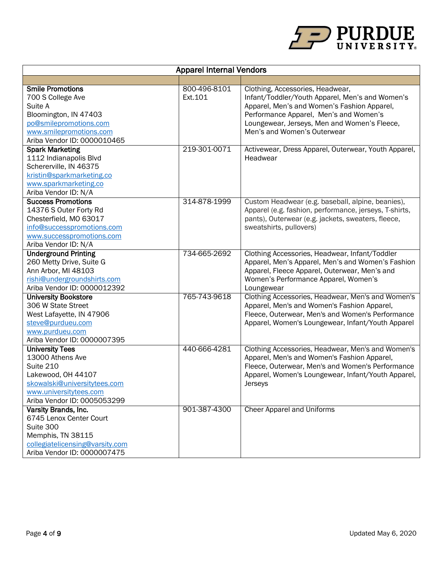

| <b>Apparel Internal Vendors</b>                                                                                                                                        |                         |                                                                                                                                                                                                                                                             |  |
|------------------------------------------------------------------------------------------------------------------------------------------------------------------------|-------------------------|-------------------------------------------------------------------------------------------------------------------------------------------------------------------------------------------------------------------------------------------------------------|--|
|                                                                                                                                                                        |                         |                                                                                                                                                                                                                                                             |  |
| <b>Smile Promotions</b><br>700 S College Ave<br>Suite A<br>Bloomington, IN 47403<br>po@smilepromotions.com<br>www.smilepromotions.com<br>Ariba Vendor ID: 0000010465   | 800-496-8101<br>Ext.101 | Clothing, Accessories, Headwear,<br>Infant/Toddler/Youth Apparel, Men's and Women's<br>Apparel, Men's and Women's Fashion Apparel,<br>Performance Apparel, Men's and Women's<br>Loungewear, Jerseys, Men and Women's Fleece,<br>Men's and Women's Outerwear |  |
| <b>Spark Marketing</b><br>1112 Indianapolis Blvd<br>Schererville, IN 46375<br>kristin@sparkmarketing.co<br>www.sparkmarketing.co<br>Ariba Vendor ID: N/A               | 219-301-0071            | Activewear, Dress Apparel, Outerwear, Youth Apparel,<br>Headwear                                                                                                                                                                                            |  |
| <b>Success Promotions</b><br>14376 S Outer Forty Rd<br>Chesterfield, MO 63017<br>info@successpromotions.com<br>www.successpromotions.com<br>Ariba Vendor ID: N/A       | 314-878-1999            | Custom Headwear (e.g. baseball, alpine, beanies),<br>Apparel (e.g. fashion, performance, jerseys, T-shirts,<br>pants), Outerwear (e.g. jackets, sweaters, fleece,<br>sweatshirts, pullovers)                                                                |  |
| <b>Underground Printing</b><br>260 Metty Drive, Suite G<br>Ann Arbor, MI 48103<br>rishi@undergroundshirts.com<br>Ariba Vendor ID: 0000012392                           | 734-665-2692            | Clothing Accessories, Headwear, Infant/Toddler<br>Apparel, Men's Apparel, Men's and Women's Fashion<br>Apparel, Fleece Apparel, Outerwear, Men's and<br>Women's Performance Apparel, Women's<br>Loungewear                                                  |  |
| <b>University Bookstore</b><br>306 W State Street<br>West Lafayette, IN 47906<br>steve@purdueu.com<br>www.purdueu.com<br>Ariba Vendor ID: 0000007395                   | 765-743-9618            | Clothing Accessories, Headwear, Men's and Women's<br>Apparel, Men's and Women's Fashion Apparel,<br>Fleece, Outerwear, Men's and Women's Performance<br>Apparel, Women's Loungewear, Infant/Youth Apparel                                                   |  |
| <b>University Tees</b><br>13000 Athens Ave<br>Suite 210<br>Lakewood, OH 44107<br>skowalski@universitytees.com<br>www.universitytees.com<br>Ariba Vendor ID: 0005053299 | 440-666-4281            | Clothing Accessories, Headwear, Men's and Women's<br>Apparel, Men's and Women's Fashion Apparel,<br>Fleece, Outerwear, Men's and Women's Performance<br>Apparel, Women's Loungewear, Infant/Youth Apparel,<br>Jerseys                                       |  |
| Varsity Brands, Inc.<br>6745 Lenox Center Court<br>Suite 300<br>Memphis, TN 38115<br>collegiatelicensing@varsity.com<br>Ariba Vendor ID: 0000007475                    | 901-387-4300            | Cheer Apparel and Uniforms                                                                                                                                                                                                                                  |  |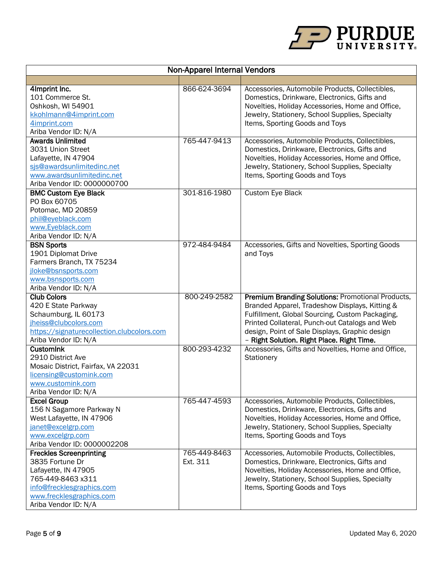

| <b>Non-Apparel Internal Vendors</b>                                                                                                                                            |                          |                                                                                                                                                                                                                                                                                                          |  |
|--------------------------------------------------------------------------------------------------------------------------------------------------------------------------------|--------------------------|----------------------------------------------------------------------------------------------------------------------------------------------------------------------------------------------------------------------------------------------------------------------------------------------------------|--|
|                                                                                                                                                                                |                          |                                                                                                                                                                                                                                                                                                          |  |
| 4Imprint Inc.<br>101 Commerce St.<br>Oshkosh, WI 54901<br>kkohlmann@4imprint.com<br>4imprint.com<br>Ariba Vendor ID: N/A                                                       | 866-624-3694             | Accessories, Automobile Products, Collectibles,<br>Domestics, Drinkware, Electronics, Gifts and<br>Novelties, Holiday Accessories, Home and Office,<br>Jewelry, Stationery, School Supplies, Specialty<br>Items, Sporting Goods and Toys                                                                 |  |
| <b>Awards Unlimited</b><br>3031 Union Street<br>Lafayette, IN 47904<br>sis@awardsunlimitedinc.net<br>www.awardsunlimitedinc.net<br>Ariba Vendor ID: 0000000700                 | 765-447-9413             | Accessories, Automobile Products, Collectibles,<br>Domestics, Drinkware, Electronics, Gifts and<br>Novelties, Holiday Accessories, Home and Office,<br>Jewelry, Stationery, School Supplies, Specialty<br>Items, Sporting Goods and Toys                                                                 |  |
| <b>BMC Custom Eye Black</b><br>PO Box 60705<br>Potomac, MD 20859<br>phil@eyeblack.com<br>www.Eyeblack.com<br>Ariba Vendor ID: N/A                                              | 301-816-1980             | Custom Eye Black                                                                                                                                                                                                                                                                                         |  |
| <b>BSN Sports</b><br>1901 Diplomat Drive<br>Farmers Branch, TX 75234<br>jloke@bsnsports.com<br>www.bsnsports.com<br>Ariba Vendor ID: N/A                                       | 972-484-9484             | Accessories, Gifts and Novelties, Sporting Goods<br>and Toys                                                                                                                                                                                                                                             |  |
| <b>Club Colors</b><br>420 E State Parkway<br>Schaumburg, IL 60173<br>jheiss@clubcolors.com<br>https://signaturecollection.clubcolors.com<br>Ariba Vendor ID: N/A               | 800-249-2582             | Premium Branding Solutions: Promotional Products,<br>Branded Apparel, Tradeshow Displays, Kitting &<br>Fulfillment, Global Sourcing, Custom Packaging,<br>Printed Collateral, Punch-out Catalogs and Web<br>design, Point of Sale Displays, Graphic design<br>- Right Solution. Right Place. Right Time. |  |
| <b>CustomInk</b><br>2910 District Ave<br>Mosaic District, Fairfax, VA 22031<br>licensing@customink.com<br>www.customink.com<br>Ariba Vendor ID: N/A                            | 800-293-4232             | Accessories, Gifts and Novelties, Home and Office,<br>Stationery                                                                                                                                                                                                                                         |  |
| <b>Excel Group</b><br>156 N Sagamore Parkway N<br>West Lafayette, IN 47906<br>janet@excelgrp.com<br>www.excelgrp.com<br>Ariba Vendor ID: 0000002208                            | 765-447-4593             | Accessories, Automobile Products, Collectibles,<br>Domestics, Drinkware, Electronics, Gifts and<br>Novelties, Holiday Accessories, Home and Office,<br>Jewelry, Stationery, School Supplies, Specialty<br>Items, Sporting Goods and Toys                                                                 |  |
| <b>Freckles Screenprinting</b><br>3835 Fortune Dr<br>Lafayette, IN 47905<br>765-449-8463 x311<br>info@frecklesgraphics.com<br>www.frecklesgraphics.com<br>Ariba Vendor ID: N/A | 765-449-8463<br>Ext. 311 | Accessories, Automobile Products, Collectibles,<br>Domestics, Drinkware, Electronics, Gifts and<br>Novelties, Holiday Accessories, Home and Office,<br>Jewelry, Stationery, School Supplies, Specialty<br>Items, Sporting Goods and Toys                                                                 |  |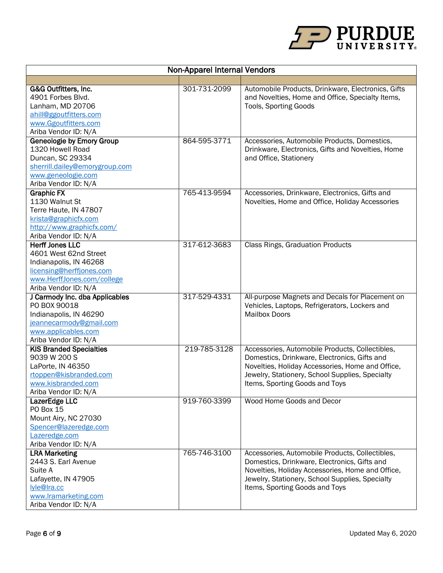

| <b>Non-Apparel Internal Vendors</b>                                                                                                                         |              |                                                                                                                                                                                                                                          |  |
|-------------------------------------------------------------------------------------------------------------------------------------------------------------|--------------|------------------------------------------------------------------------------------------------------------------------------------------------------------------------------------------------------------------------------------------|--|
|                                                                                                                                                             |              |                                                                                                                                                                                                                                          |  |
| G&G Outfitters, Inc.<br>4901 Forbes Blvd.<br>Lanham, MD 20706<br>ahill@ggoutfitters.com<br>www.Ggoutfitters.com<br>Ariba Vendor ID: N/A                     | 301-731-2099 | Automobile Products, Drinkware, Electronics, Gifts<br>and Novelties, Home and Office, Specialty Items,<br><b>Tools, Sporting Goods</b>                                                                                                   |  |
| <b>Geneologie by Emory Group</b><br>1320 Howell Road<br>Duncan, SC 29334<br>sherrill.dailey@emorygroup.com<br>www.geneologie.com<br>Ariba Vendor ID: N/A    | 864-595-3771 | Accessories, Automobile Products, Domestics,<br>Drinkware, Electronics, Gifts and Novelties, Home<br>and Office, Stationery                                                                                                              |  |
| <b>Graphic FX</b><br>1130 Walnut St<br>Terre Haute, IN 47807<br>krista@graphicfx.com<br>http://www.graphicfx.com/<br>Ariba Vendor ID: N/A                   | 765-413-9594 | Accessories, Drinkware, Electronics, Gifts and<br>Novelties, Home and Office, Holiday Accessories                                                                                                                                        |  |
| <b>Herff Jones LLC</b><br>4601 West 62nd Street<br>Indianapolis, IN 46268<br>licensing@herffjones.com<br>www.HerffJones.com/college<br>Ariba Vendor ID: N/A | 317-612-3683 | <b>Class Rings, Graduation Products</b>                                                                                                                                                                                                  |  |
| J Carmody Inc. dba Applicables<br>PO BOX 90018<br>Indianapolis, IN 46290<br>jeannecarmody@gmail.com<br>www.applicables.com<br>Ariba Vendor ID: N/A          | 317-529-4331 | All-purpose Magnets and Decals for Placement on<br>Vehicles, Laptops, Refrigerators, Lockers and<br><b>Mailbox Doors</b>                                                                                                                 |  |
| <b>KIS Branded Specialties</b><br>9039 W 200 S<br>LaPorte, IN 46350<br>rtoppen@kisbranded.com<br>www.kisbranded.com<br>Ariba Vendor ID: N/A                 | 219-785-3128 | Accessories, Automobile Products, Collectibles,<br>Domestics, Drinkware, Electronics, Gifts and<br>Novelties, Holiday Accessories, Home and Office,<br>Jewelry, Stationery, School Supplies, Specialty<br>Items, Sporting Goods and Toys |  |
| LazerEdge LLC<br><b>PO Box 15</b><br>Mount Airy, NC 27030<br>Spencer@lazeredge.com<br>Lazeredge.com<br>Ariba Vendor ID: N/A                                 | 919-760-3399 | Wood Home Goods and Decor                                                                                                                                                                                                                |  |
| <b>LRA Marketing</b><br>2443 S. Earl Avenue<br>Suite A<br>Lafayette, IN 47905<br>lyle@Ira.cc<br>www.lramarketing.com<br>Ariba Vendor ID: N/A                | 765-746-3100 | Accessories, Automobile Products, Collectibles,<br>Domestics, Drinkware, Electronics, Gifts and<br>Novelties, Holiday Accessories, Home and Office,<br>Jewelry, Stationery, School Supplies, Specialty<br>Items, Sporting Goods and Toys |  |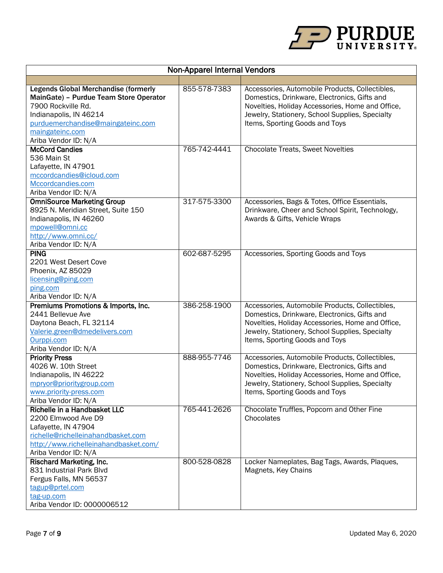

| <b>Non-Apparel Internal Vendors</b>                                                                                                                                                                                   |              |                                                                                                                                                                                                                                          |  |
|-----------------------------------------------------------------------------------------------------------------------------------------------------------------------------------------------------------------------|--------------|------------------------------------------------------------------------------------------------------------------------------------------------------------------------------------------------------------------------------------------|--|
|                                                                                                                                                                                                                       |              |                                                                                                                                                                                                                                          |  |
| <b>Legends Global Merchandise (formerly</b><br>MainGate) - Purdue Team Store Operator<br>7900 Rockville Rd.<br>Indianapolis, IN 46214<br>purduemerchandise@maingateinc.com<br>maingateinc.com<br>Ariba Vendor ID: N/A | 855-578-7383 | Accessories, Automobile Products, Collectibles,<br>Domestics, Drinkware, Electronics, Gifts and<br>Novelties, Holiday Accessories, Home and Office,<br>Jewelry, Stationery, School Supplies, Specialty<br>Items, Sporting Goods and Toys |  |
| <b>McCord Candies</b>                                                                                                                                                                                                 | 765-742-4441 | <b>Chocolate Treats, Sweet Novelties</b>                                                                                                                                                                                                 |  |
| 536 Main St<br>Lafayette, IN 47901<br>mccordcandies@icloud.com<br>Mccordcandies.com<br>Ariba Vendor ID: N/A                                                                                                           |              |                                                                                                                                                                                                                                          |  |
| <b>OmniSource Marketing Group</b><br>8925 N. Meridian Street, Suite 150<br>Indianapolis, IN 46260<br>mpowell@omni.cc<br>http://www.omni.cc/<br>Ariba Vendor ID: N/A                                                   | 317-575-3300 | Accessories, Bags & Totes, Office Essentials,<br>Drinkware, Cheer and School Spirit, Technology,<br>Awards & Gifts, Vehicle Wraps                                                                                                        |  |
| <b>PING</b><br>2201 West Desert Cove<br>Phoenix, AZ 85029<br>licensing@ping.com<br>ping.com<br>Ariba Vendor ID: N/A                                                                                                   | 602-687-5295 | Accessories, Sporting Goods and Toys                                                                                                                                                                                                     |  |
| Premiums Promotions & Imports, Inc.<br>2441 Bellevue Ave<br>Daytona Beach, FL 32114<br>Valerie.green@dmedelivers.com<br>Ourppi.com<br>Ariba Vendor ID: N/A                                                            | 386-258-1900 | Accessories, Automobile Products, Collectibles,<br>Domestics, Drinkware, Electronics, Gifts and<br>Novelties, Holiday Accessories, Home and Office,<br>Jewelry, Stationery, School Supplies, Specialty<br>Items, Sporting Goods and Toys |  |
| <b>Priority Press</b><br>4026 W. 10th Street<br>Indianapolis, IN 46222<br>mpryor@prioritygroup.com<br>www.priority-press.com<br>Ariba Vendor ID: N/A                                                                  | 888-955-7746 | Accessories, Automobile Products, Collectibles,<br>Domestics, Drinkware, Electronics, Gifts and<br>Novelties, Holiday Accessories, Home and Office,<br>Jewelry, Stationery, School Supplies, Specialty<br>Items, Sporting Goods and Toys |  |
| Richelle in a Handbasket LLC<br>2200 Elmwood Ave D9<br>Lafayette, IN 47904<br>richelle@richelleinahandbasket.com<br>http://www.richelleinahandbasket.com/<br>Ariba Vendor ID: N/A                                     | 765-441-2626 | Chocolate Truffles, Popcorn and Other Fine<br>Chocolates                                                                                                                                                                                 |  |
| Rischard Marketing, Inc.<br>831 Industrial Park Blvd<br>Fergus Falls, MN 56537<br>tagup@prtel.com<br>tag-up.com<br>Ariba Vendor ID: 0000006512                                                                        | 800-528-0828 | Locker Nameplates, Bag Tags, Awards, Plaques,<br>Magnets, Key Chains                                                                                                                                                                     |  |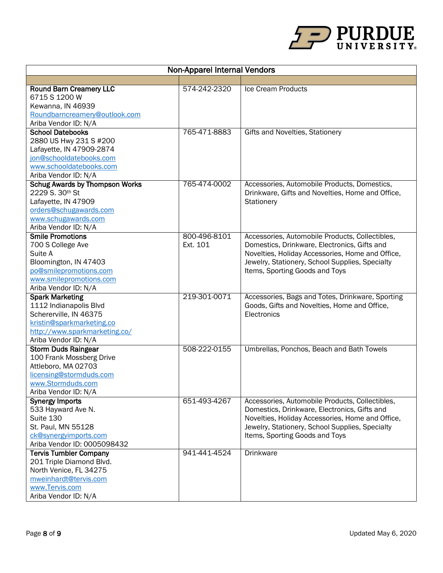

| <b>Round Barn Creamery LLC</b><br>574-242-2320<br>Ice Cream Products<br>6715 S 1200 W<br>Kewanna, IN 46939<br>Roundbarncreamery@outlook.com<br>Ariba Vendor ID: N/A<br><b>School Datebooks</b><br>765-471-8883<br>Gifts and Novelties, Stationery<br>2880 US Hwy 231 S #200<br>Lafayette, IN 47909-2874<br>jon@schooldatebooks.com<br>www.schooldatebooks.com |
|---------------------------------------------------------------------------------------------------------------------------------------------------------------------------------------------------------------------------------------------------------------------------------------------------------------------------------------------------------------|
|                                                                                                                                                                                                                                                                                                                                                               |
|                                                                                                                                                                                                                                                                                                                                                               |
|                                                                                                                                                                                                                                                                                                                                                               |
|                                                                                                                                                                                                                                                                                                                                                               |
|                                                                                                                                                                                                                                                                                                                                                               |
|                                                                                                                                                                                                                                                                                                                                                               |
|                                                                                                                                                                                                                                                                                                                                                               |
|                                                                                                                                                                                                                                                                                                                                                               |
|                                                                                                                                                                                                                                                                                                                                                               |
|                                                                                                                                                                                                                                                                                                                                                               |
|                                                                                                                                                                                                                                                                                                                                                               |
| Ariba Vendor ID: N/A                                                                                                                                                                                                                                                                                                                                          |
| <b>Schug Awards by Thompson Works</b><br>765-474-0002<br>Accessories, Automobile Products, Domestics,                                                                                                                                                                                                                                                         |
| 2229 S. 30th St<br>Drinkware, Gifts and Novelties, Home and Office,                                                                                                                                                                                                                                                                                           |
| Lafayette, IN 47909<br>Stationery                                                                                                                                                                                                                                                                                                                             |
| orders@schugawards.com                                                                                                                                                                                                                                                                                                                                        |
| www.schugawards.com                                                                                                                                                                                                                                                                                                                                           |
| Ariba Vendor ID: N/A                                                                                                                                                                                                                                                                                                                                          |
| 800-496-8101<br><b>Smile Promotions</b><br>Accessories, Automobile Products, Collectibles,                                                                                                                                                                                                                                                                    |
| 700 S College Ave<br>Ext. 101<br>Domestics, Drinkware, Electronics, Gifts and                                                                                                                                                                                                                                                                                 |
| Novelties, Holiday Accessories, Home and Office,<br>Suite A                                                                                                                                                                                                                                                                                                   |
| Bloomington, IN 47403<br>Jewelry, Stationery, School Supplies, Specialty                                                                                                                                                                                                                                                                                      |
| po@smilepromotions.com<br>Items, Sporting Goods and Toys                                                                                                                                                                                                                                                                                                      |
| www.smilepromotions.com                                                                                                                                                                                                                                                                                                                                       |
| Ariba Vendor ID: N/A                                                                                                                                                                                                                                                                                                                                          |
| 219-301-0071<br><b>Spark Marketing</b><br>Accessories, Bags and Totes, Drinkware, Sporting                                                                                                                                                                                                                                                                    |
| 1112 Indianapolis Blvd<br>Goods, Gifts and Novelties, Home and Office,                                                                                                                                                                                                                                                                                        |
| Schererville, IN 46375<br>Electronics                                                                                                                                                                                                                                                                                                                         |
| kristin@sparkmarketing.co                                                                                                                                                                                                                                                                                                                                     |
| http://www.sparkmarketing.co/                                                                                                                                                                                                                                                                                                                                 |
| Ariba Vendor ID: N/A                                                                                                                                                                                                                                                                                                                                          |
| 508-222-0155<br>Umbrellas, Ponchos, Beach and Bath Towels<br><b>Storm Duds Raingear</b>                                                                                                                                                                                                                                                                       |
| 100 Frank Mossberg Drive                                                                                                                                                                                                                                                                                                                                      |
| Attleboro, MA 02703                                                                                                                                                                                                                                                                                                                                           |
| licensing@stormduds.com                                                                                                                                                                                                                                                                                                                                       |
| www.Stormduds.com                                                                                                                                                                                                                                                                                                                                             |
| Ariba Vendor ID: N/A<br>651-493-4267<br>Accessories, Automobile Products, Collectibles,                                                                                                                                                                                                                                                                       |
| <b>Synergy Imports</b><br>533 Hayward Ave N.<br>Domestics, Drinkware, Electronics, Gifts and                                                                                                                                                                                                                                                                  |
| Suite 130<br>Novelties, Holiday Accessories, Home and Office,                                                                                                                                                                                                                                                                                                 |
| St. Paul, MN 55128<br>Jewelry, Stationery, School Supplies, Specialty                                                                                                                                                                                                                                                                                         |
| Items, Sporting Goods and Toys<br>ck@synergyimports.com                                                                                                                                                                                                                                                                                                       |
| Ariba Vendor ID: 0005098432                                                                                                                                                                                                                                                                                                                                   |
| <b>Tervis Tumbler Company</b><br>941-441-4524<br><b>Drinkware</b>                                                                                                                                                                                                                                                                                             |
| 201 Triple Diamond Blvd.                                                                                                                                                                                                                                                                                                                                      |
| North Venice, FL 34275                                                                                                                                                                                                                                                                                                                                        |
| mweinhardt@tervis.com                                                                                                                                                                                                                                                                                                                                         |
| www.Tervis.com                                                                                                                                                                                                                                                                                                                                                |
| Ariba Vendor ID: N/A                                                                                                                                                                                                                                                                                                                                          |